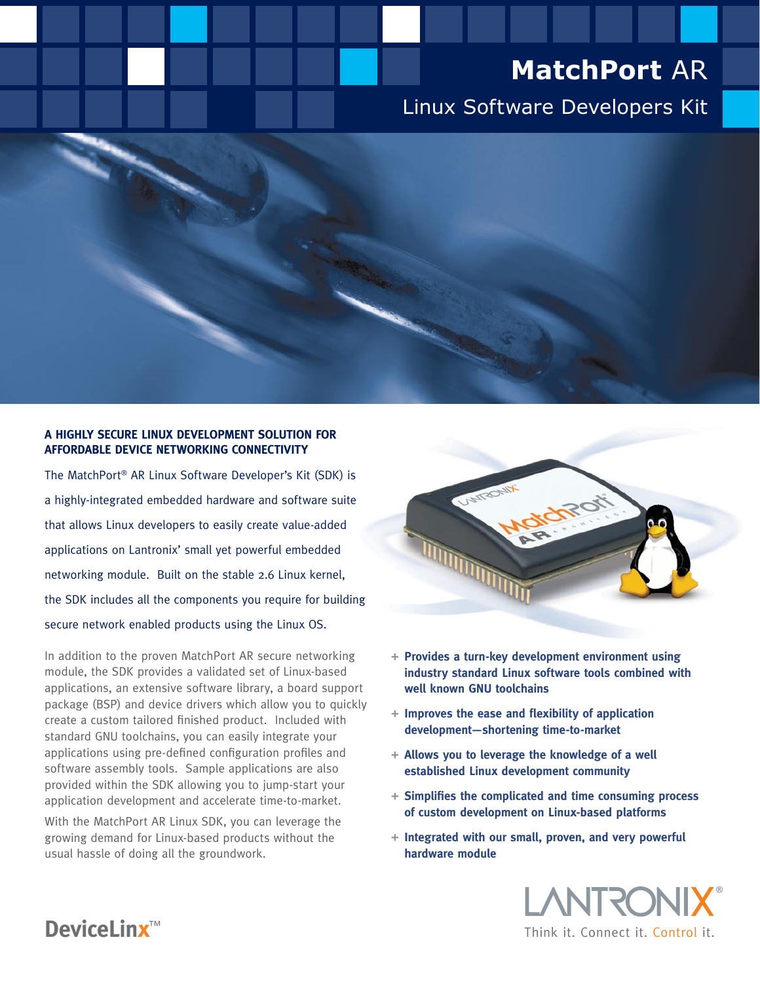# **MatchPort** AR

# Linux Software Developers Kit

#### **A Highly Secure Linux Development Solution for Affordable Device Networking Connectivity**

The MatchPort® AR Linux Software Developer's Kit (SDK) is a highly-integrated embedded hardware and software suite that allows Linux developers to easily create value-added applications on Lantronix' small yet powerful embedded networking module. Built on the stable 2.6 Linux kernel, the SDK includes all the components you require for building secure network enabled products using the Linux OS.

In addition to the proven MatchPort AR secure networking module, the SDK provides a validated set of Linux-based applications, an extensive software library, a board support package (BSP) and device drivers which allow you to quickly create a custom tailored finished product. Included with standard GNU toolchains, you can easily integrate your applications using pre-defined configuration profiles and software assembly tools. Sample applications are also provided within the SDK allowing you to jump-start your application development and accelerate time-to-market.

With the MatchPort AR Linux SDK, you can leverage the growing demand for Linux-based products without the usual hassle of doing all the groundwork.



- **+ Provides a turn-key development environment using industry standard Linux software tools combined with well known GNU toolchains**
- **+ Improves the ease and flexibility of application development—shortening time-to-market**
- **+ Allows you to leverage the knowledge of a well established Linux development community**
- **+ Simplifies the complicated and time consuming process of custom development on Linux-based platforms**
- **+ Integrated with our small, proven, and very powerful hardware module**

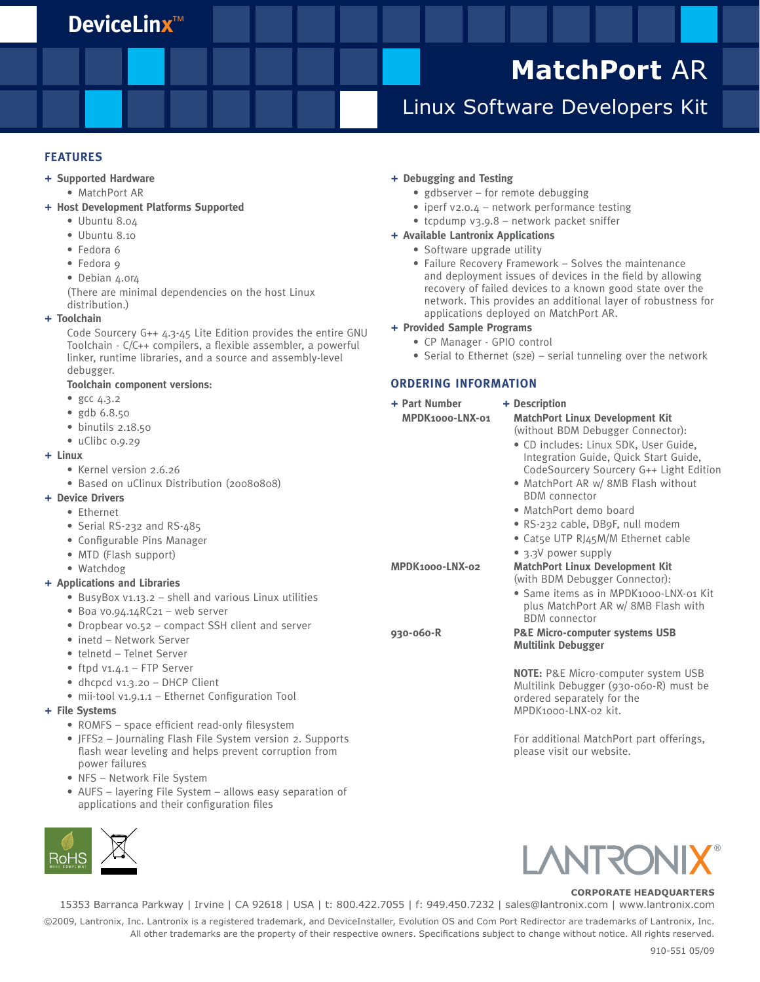### **DeviceLinx**™

# **MatchPort** AR

## Linux Software Developers Kit

#### **FEATURES**

#### **+ Supported Hardware**

• MatchPort AR

#### **+ Host Development Platforms Supported**

- Ubuntu 8.04
- Ubuntu 8.10
- Fedora 6
- Fedora 9
- Debian 4.0r4

(There are minimal dependencies on the host Linux distribution.)

#### **+ Toolchain**

Code Sourcery G++ 4.3-45 Lite Edition provides the entire GNU Toolchain - C/C++ compilers, a flexible assembler, a powerful linker, runtime libraries, and a source and assembly-level debugger.

#### **Toolchain component versions:**

- gcc 4.3.2
- gdb 6.8.50
- $\bullet$  binutils 2.18.50
- uClibc 0.9.29
- **+ Linux**
	- Kernel version 2.6.26
	- Based on uClinux Distribution (20080808)

#### **+ Device Drivers**

- Ethernet
- Serial RS-232 and RS-485
- Configurable Pins Manager
- MTD (Flash support)
- Watchdog

#### **+ Applications and Libraries**

- BusyBox v1.13.2 shell and various Linux utilities
- Boa v0.94.14RC21 web server
- Dropbear v0.52 compact SSH client and server
- inetd Network Server
- telnetd Telnet Server
- ftpd v1.4.1 FTP Server
- dhcpcd v1.3.20 DHCP Client
- mii-tool v1.9.1.1 Ethernet Configuration Tool

#### **+ File Systems**

- ROMFS space efficient read-only filesystem
- JFFS2 Journaling Flash File System version 2. Supports flash wear leveling and helps prevent corruption from power failures
- NFS Network File System
- AUFS layering File System allows easy separation of applications and their configuration files



### **+ Debugging and Testing**

- gdbserver for remote debugging
- iperf v2.0.4 network performance testing
- tcpdump v3.9.8 network packet sniffer
- **+ Available Lantronix Applications**
	- Software upgrade utility
	- Failure Recovery Framework Solves the maintenance and deployment issues of devices in the field by allowing recovery of failed devices to a known good state over the network. This provides an additional layer of robustness for applications deployed on MatchPort AR.
- **+ Provided Sample Programs**
	- CP Manager GPIO control
	- Serial to Ethernet (s2e) serial tunneling over the network

#### **ORDERING INFORMATION**

| + Part Number<br>MPDK1000-LNX-01 | + Description<br><b>MatchPort Linux Development Kit</b><br>(without BDM Debugger Connector):<br>• CD includes: Linux SDK, User Guide,<br>Integration Guide, Quick Start Guide,<br>CodeSourcery Sourcery G++ Light Edition<br>• MatchPort AR w/ 8MB Flash without<br><b>BDM</b> connector<br>• MatchPort demo board<br>• RS-232 cable, DB9F, null modem<br>• Cat5e UTP RJ45M/M Ethernet cable<br>• 3.3V power supply |
|----------------------------------|---------------------------------------------------------------------------------------------------------------------------------------------------------------------------------------------------------------------------------------------------------------------------------------------------------------------------------------------------------------------------------------------------------------------|
| MPDK1000-LNX-02                  | <b>MatchPort Linux Development Kit</b><br>(with BDM Debugger Connector):<br>• Same items as in MPDK1000-LNX-01 Kit<br>plus MatchPort AR w/ 8MB Flash with<br><b>BDM</b> connector                                                                                                                                                                                                                                   |
| 930-060-R                        | <b>P&amp;E Micro-computer systems USB</b><br><b>Multilink Debugger</b><br><b>NOTE: P&amp;E Micro-computer system USB</b><br>Multilink Debugger (930-060-R) must be                                                                                                                                                                                                                                                  |

ordered separately for the MPDK1000-LNX-02 kit.

For additional MatchPort part offerings, please visit our website.



#### **CORPORATE HEADQUARTERS**

15353 Barranca Parkway | Irvine | CA 92618 | USA | t: 800.422.7055 | f: 949.450.7232 | sales@lantronix.com | www.lantronix.com

©2009, Lantronix, Inc. Lantronix is a registered trademark, and DeviceInstaller, Evolution OS and Com Port Redirector are trademarks of Lantronix, Inc. All other trademarks are the property of their respective owners. Specifications subject to change without notice. All rights reserved.